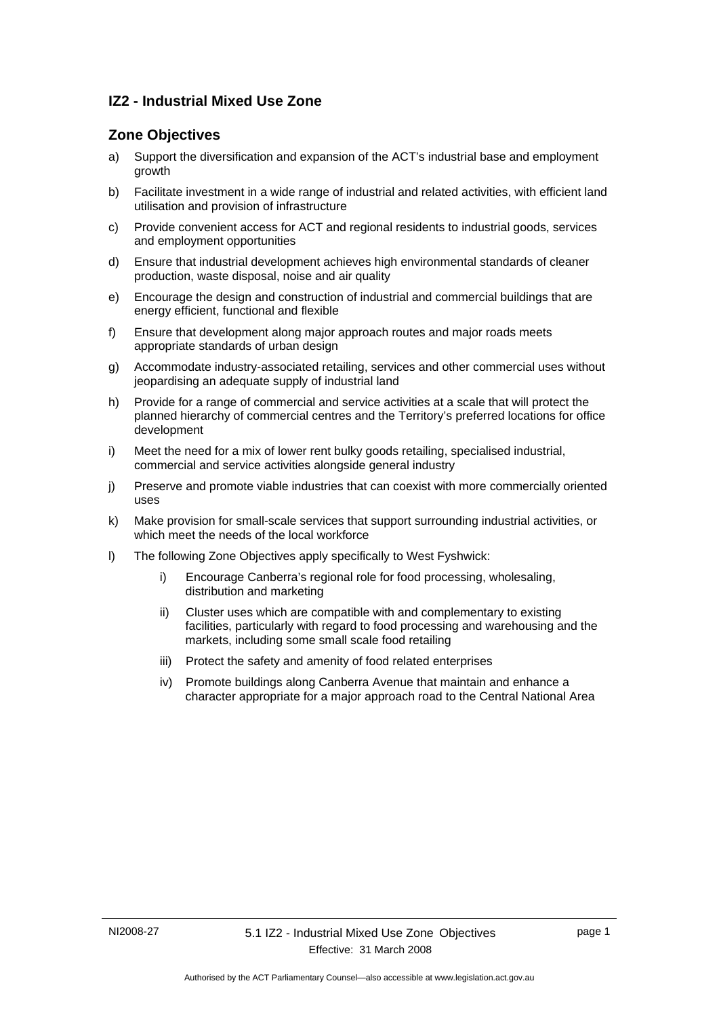## **IZ2 - Industrial Mixed Use Zone**

## **Zone Objectives**

- a) Support the diversification and expansion of the ACT's industrial base and employment growth
- b) Facilitate investment in a wide range of industrial and related activities, with efficient land utilisation and provision of infrastructure
- c) Provide convenient access for ACT and regional residents to industrial goods, services and employment opportunities
- d) Ensure that industrial development achieves high environmental standards of cleaner production, waste disposal, noise and air quality
- e) Encourage the design and construction of industrial and commercial buildings that are energy efficient, functional and flexible
- f) Ensure that development along major approach routes and major roads meets appropriate standards of urban design
- g) Accommodate industry-associated retailing, services and other commercial uses without jeopardising an adequate supply of industrial land
- h) Provide for a range of commercial and service activities at a scale that will protect the planned hierarchy of commercial centres and the Territory's preferred locations for office development
- i) Meet the need for a mix of lower rent bulky goods retailing, specialised industrial, commercial and service activities alongside general industry
- j) Preserve and promote viable industries that can coexist with more commercially oriented uses
- k) Make provision for small-scale services that support surrounding industrial activities, or which meet the needs of the local workforce
- l) The following Zone Objectives apply specifically to West Fyshwick:
	- i) Encourage Canberra's regional role for food processing, wholesaling, distribution and marketing
	- ii) Cluster uses which are compatible with and complementary to existing facilities, particularly with regard to food processing and warehousing and the markets, including some small scale food retailing
	- iii) Protect the safety and amenity of food related enterprises
	- iv) Promote buildings along Canberra Avenue that maintain and enhance a character appropriate for a major approach road to the Central National Area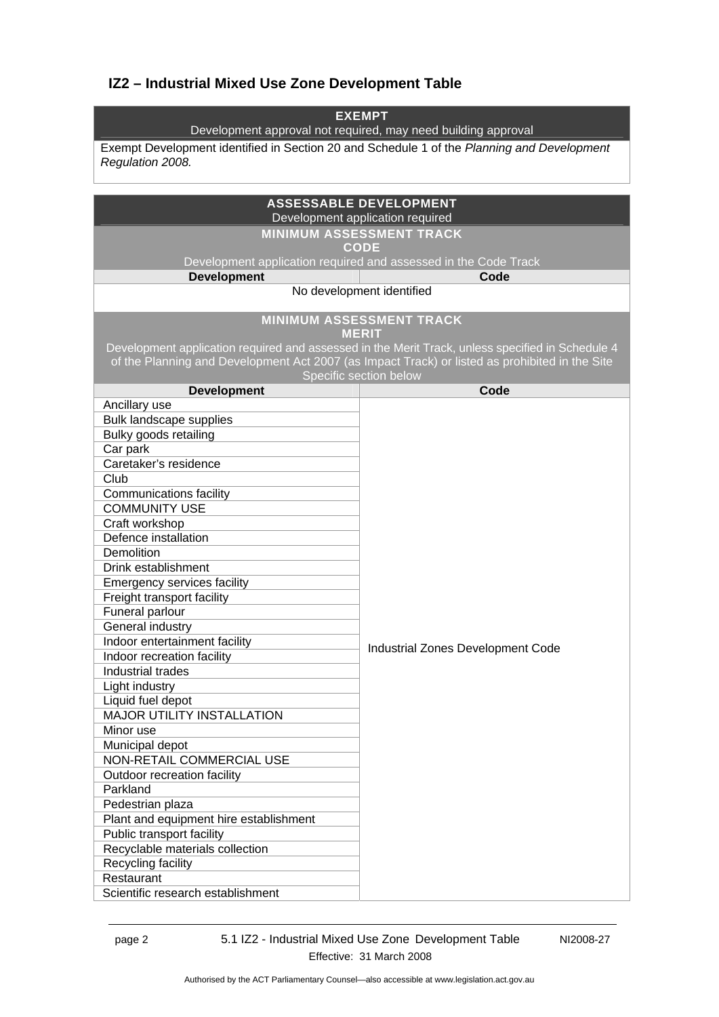# **IZ2 – Industrial Mixed Use Zone Development Table**

| <b>EXEMPT</b><br>Development approval not required, may need building approval                                                                      |                                                                                |  |
|-----------------------------------------------------------------------------------------------------------------------------------------------------|--------------------------------------------------------------------------------|--|
| Exempt Development identified in Section 20 and Schedule 1 of the Planning and Development<br>Regulation 2008.                                      |                                                                                |  |
|                                                                                                                                                     |                                                                                |  |
| <b>ASSESSABLE DEVELOPMENT</b><br>Development application required                                                                                   |                                                                                |  |
|                                                                                                                                                     | <b>MINIMUM ASSESSMENT TRACK</b>                                                |  |
|                                                                                                                                                     | <b>CODE</b><br>Development application required and assessed in the Code Track |  |
| <b>Development</b>                                                                                                                                  | Code                                                                           |  |
|                                                                                                                                                     | No development identified                                                      |  |
|                                                                                                                                                     |                                                                                |  |
| <b>MINIMUM ASSESSMENT TRACK</b><br><b>MERLT</b><br>Development application required and assessed in the Merit Track, unless specified in Schedule 4 |                                                                                |  |
| of the Planning and Development Act 2007 (as Impact Track) or listed as prohibited in the Site<br>Specific section below                            |                                                                                |  |
| <b>Development</b>                                                                                                                                  | Code                                                                           |  |
| Ancillary use                                                                                                                                       |                                                                                |  |
| <b>Bulk landscape supplies</b>                                                                                                                      |                                                                                |  |
| Bulky goods retailing                                                                                                                               |                                                                                |  |
| Car park                                                                                                                                            |                                                                                |  |
| Caretaker's residence                                                                                                                               |                                                                                |  |
| Club                                                                                                                                                |                                                                                |  |
| <b>Communications facility</b>                                                                                                                      |                                                                                |  |
| <b>COMMUNITY USE</b>                                                                                                                                |                                                                                |  |
| Craft workshop<br>Defence installation                                                                                                              |                                                                                |  |
| Demolition                                                                                                                                          |                                                                                |  |
| Drink establishment                                                                                                                                 |                                                                                |  |
| <b>Emergency services facility</b>                                                                                                                  |                                                                                |  |
| Freight transport facility                                                                                                                          |                                                                                |  |
| Funeral parlour                                                                                                                                     |                                                                                |  |
| General industry                                                                                                                                    |                                                                                |  |
| Indoor entertainment facility                                                                                                                       |                                                                                |  |
| Indoor recreation facility                                                                                                                          | Industrial Zones Development Code                                              |  |
| Industrial trades                                                                                                                                   |                                                                                |  |
| Light industry                                                                                                                                      |                                                                                |  |
| Liquid fuel depot                                                                                                                                   |                                                                                |  |
| <b>MAJOR UTILITY INSTALLATION</b>                                                                                                                   |                                                                                |  |
| Minor use                                                                                                                                           |                                                                                |  |
| Municipal depot                                                                                                                                     |                                                                                |  |
| NON-RETAIL COMMERCIAL USE                                                                                                                           |                                                                                |  |
| Outdoor recreation facility                                                                                                                         |                                                                                |  |
| Parkland                                                                                                                                            |                                                                                |  |
| Pedestrian plaza                                                                                                                                    |                                                                                |  |
| Plant and equipment hire establishment                                                                                                              |                                                                                |  |
| Public transport facility                                                                                                                           |                                                                                |  |
| Recyclable materials collection                                                                                                                     |                                                                                |  |
| Recycling facility                                                                                                                                  |                                                                                |  |
| Restaurant                                                                                                                                          |                                                                                |  |
| Scientific research establishment                                                                                                                   |                                                                                |  |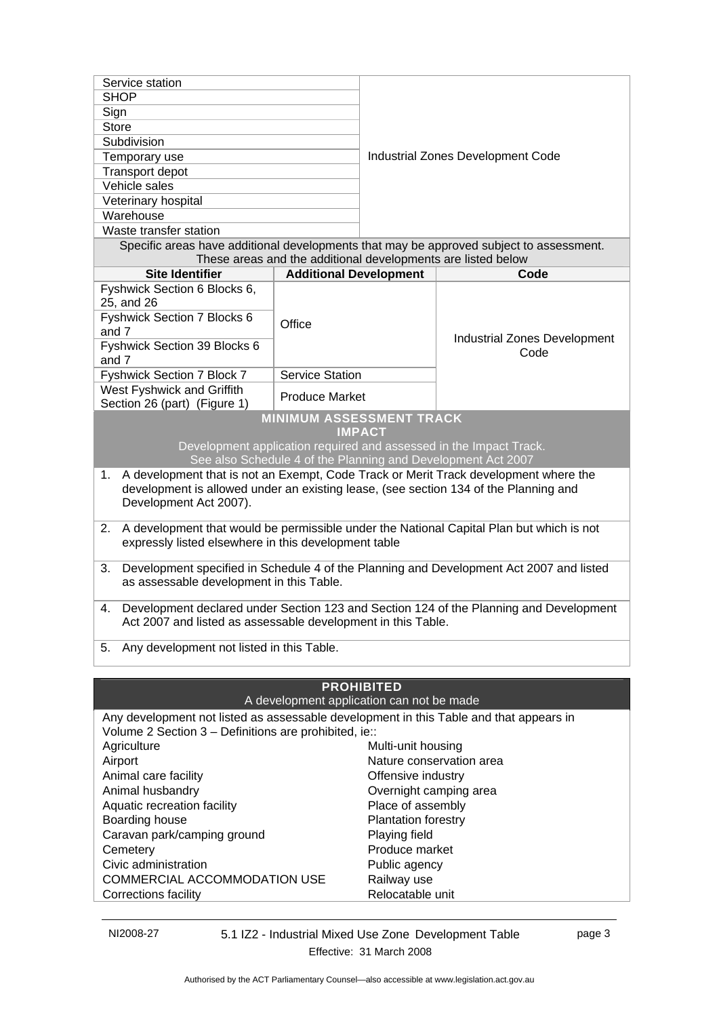| Service station                                                                                                                                 |                                                                |                                   |                                                                                          |  |
|-------------------------------------------------------------------------------------------------------------------------------------------------|----------------------------------------------------------------|-----------------------------------|------------------------------------------------------------------------------------------|--|
| <b>SHOP</b>                                                                                                                                     |                                                                |                                   |                                                                                          |  |
| Sign                                                                                                                                            |                                                                |                                   |                                                                                          |  |
| <b>Store</b>                                                                                                                                    |                                                                |                                   |                                                                                          |  |
| Subdivision                                                                                                                                     |                                                                | Industrial Zones Development Code |                                                                                          |  |
| Temporary use                                                                                                                                   |                                                                |                                   |                                                                                          |  |
| Transport depot                                                                                                                                 |                                                                |                                   |                                                                                          |  |
| Vehicle sales                                                                                                                                   |                                                                |                                   |                                                                                          |  |
| Veterinary hospital<br>Warehouse                                                                                                                |                                                                |                                   |                                                                                          |  |
| Waste transfer station                                                                                                                          |                                                                |                                   |                                                                                          |  |
| Specific areas have additional developments that may be approved subject to assessment.                                                         |                                                                |                                   |                                                                                          |  |
|                                                                                                                                                 | These areas and the additional developments are listed below   |                                   |                                                                                          |  |
| <b>Site Identifier</b>                                                                                                                          | <b>Additional Development</b>                                  |                                   | Code                                                                                     |  |
| Fyshwick Section 6 Blocks 6,                                                                                                                    |                                                                |                                   |                                                                                          |  |
| 25, and 26                                                                                                                                      |                                                                |                                   |                                                                                          |  |
| Fyshwick Section 7 Blocks 6                                                                                                                     | Office                                                         |                                   |                                                                                          |  |
| and 7                                                                                                                                           |                                                                |                                   | Industrial Zones Development                                                             |  |
| Fyshwick Section 39 Blocks 6                                                                                                                    |                                                                |                                   | Code                                                                                     |  |
| and 7                                                                                                                                           |                                                                |                                   |                                                                                          |  |
| Fyshwick Section 7 Block 7                                                                                                                      | <b>Service Station</b>                                         |                                   |                                                                                          |  |
| West Fyshwick and Griffith                                                                                                                      | <b>Produce Market</b>                                          |                                   |                                                                                          |  |
| Section 26 (part) (Figure 1)<br><b>MINIMUM ASSESSMENT TRACK</b>                                                                                 |                                                                |                                   |                                                                                          |  |
|                                                                                                                                                 | <b>IMPACT</b>                                                  |                                   |                                                                                          |  |
|                                                                                                                                                 |                                                                |                                   | Development application required and assessed in the Impact Track.                       |  |
|                                                                                                                                                 |                                                                |                                   | See also Schedule 4 of the Planning and Development Act 2007                             |  |
| 1.                                                                                                                                              |                                                                |                                   | A development that is not an Exempt, Code Track or Merit Track development where the     |  |
| development is allowed under an existing lease, (see section 134 of the Planning and                                                            |                                                                |                                   |                                                                                          |  |
| Development Act 2007).                                                                                                                          |                                                                |                                   |                                                                                          |  |
| 2.                                                                                                                                              |                                                                |                                   | A development that would be permissible under the National Capital Plan but which is not |  |
| expressly listed elsewhere in this development table                                                                                            |                                                                |                                   |                                                                                          |  |
|                                                                                                                                                 |                                                                |                                   |                                                                                          |  |
| 3.                                                                                                                                              |                                                                |                                   | Development specified in Schedule 4 of the Planning and Development Act 2007 and listed  |  |
| as assessable development in this Table.                                                                                                        |                                                                |                                   |                                                                                          |  |
|                                                                                                                                                 |                                                                |                                   |                                                                                          |  |
| 4.<br>Act 2007 and listed as assessable development in this Table.                                                                              |                                                                |                                   | Development declared under Section 123 and Section 124 of the Planning and Development   |  |
|                                                                                                                                                 |                                                                |                                   |                                                                                          |  |
| Any development not listed in this Table.<br>5.                                                                                                 |                                                                |                                   |                                                                                          |  |
|                                                                                                                                                 |                                                                |                                   |                                                                                          |  |
|                                                                                                                                                 |                                                                |                                   |                                                                                          |  |
|                                                                                                                                                 | <b>PROHIBITED</b><br>A development application can not be made |                                   |                                                                                          |  |
|                                                                                                                                                 |                                                                |                                   |                                                                                          |  |
| Any development not listed as assessable development in this Table and that appears in<br>Volume 2 Section 3 - Definitions are prohibited, ie:: |                                                                |                                   |                                                                                          |  |
| Agriculture                                                                                                                                     |                                                                | Multi-unit housing                |                                                                                          |  |
| Airport                                                                                                                                         |                                                                | Nature conservation area          |                                                                                          |  |
| Animal care facility                                                                                                                            |                                                                | Offensive industry                |                                                                                          |  |
| Animal husbandry                                                                                                                                |                                                                | Overnight camping area            |                                                                                          |  |
| Aquatic recreation facility                                                                                                                     |                                                                | Place of assembly                 |                                                                                          |  |
| Boarding house                                                                                                                                  |                                                                | Plantation forestry               |                                                                                          |  |
| Caravan park/camping ground                                                                                                                     |                                                                | Playing field                     |                                                                                          |  |
| Cemetery                                                                                                                                        |                                                                | Produce market                    |                                                                                          |  |

Corrections facility

NI2008-27 5.1 IZ2 - Industrial Mixed Use Zone Development Table Effective: 31 March 2008

Civic administration example and a public agency COMMERCIAL ACCOMMODATION USE Railway use<br>Corrections facility Relocatable unit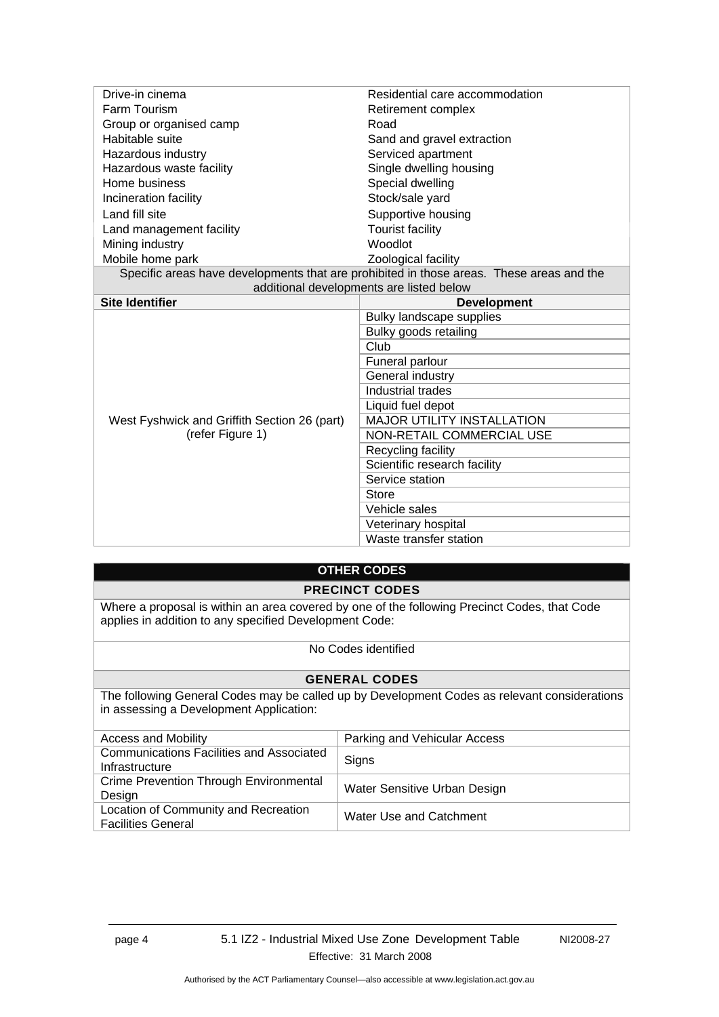| Drive-in cinema                              | Residential care accommodation                                                           |  |
|----------------------------------------------|------------------------------------------------------------------------------------------|--|
| Farm Tourism                                 | Retirement complex                                                                       |  |
| Group or organised camp                      | Road                                                                                     |  |
| Habitable suite                              | Sand and gravel extraction                                                               |  |
| Hazardous industry                           | Serviced apartment                                                                       |  |
| Hazardous waste facility                     | Single dwelling housing                                                                  |  |
| Home business                                | Special dwelling                                                                         |  |
| Incineration facility                        | Stock/sale yard                                                                          |  |
| Land fill site                               | Supportive housing                                                                       |  |
| Land management facility                     | <b>Tourist facility</b>                                                                  |  |
| Mining industry                              | <b>Woodlot</b>                                                                           |  |
| Mobile home park                             | Zoological facility                                                                      |  |
|                                              | Specific areas have developments that are prohibited in those areas. These areas and the |  |
| additional developments are listed below     |                                                                                          |  |
| <b>Site Identifier</b>                       | <b>Development</b>                                                                       |  |
|                                              |                                                                                          |  |
|                                              | Bulky landscape supplies                                                                 |  |
|                                              | Bulky goods retailing                                                                    |  |
|                                              | Club                                                                                     |  |
|                                              | Funeral parlour                                                                          |  |
|                                              | General industry                                                                         |  |
|                                              | Industrial trades                                                                        |  |
|                                              | Liquid fuel depot                                                                        |  |
| West Fyshwick and Griffith Section 26 (part) | <b>MAJOR UTILITY INSTALLATION</b>                                                        |  |
| (refer Figure 1)                             | NON-RETAIL COMMERCIAL USE                                                                |  |
|                                              | Recycling facility                                                                       |  |
|                                              | Scientific research facility                                                             |  |
|                                              | Service station                                                                          |  |
|                                              | Store                                                                                    |  |
|                                              | Vehicle sales                                                                            |  |
|                                              | Veterinary hospital<br>Waste transfer station                                            |  |

# **OTHER CODES**

**PRECINCT CODES** 

Where a proposal is within an area covered by one of the following Precinct Codes, that Code applies in addition to any specified Development Code:

#### No Codes identified

#### **GENERAL CODES**

The following General Codes may be called up by Development Codes as relevant considerations in assessing a Development Application:

| <b>Access and Mobility</b>                                        | Parking and Vehicular Access |
|-------------------------------------------------------------------|------------------------------|
| <b>Communications Facilities and Associated</b><br>Infrastructure | Signs                        |
| Crime Prevention Through Environmental<br>Design                  | Water Sensitive Urban Design |
| Location of Community and Recreation<br><b>Facilities General</b> | Water Use and Catchment      |